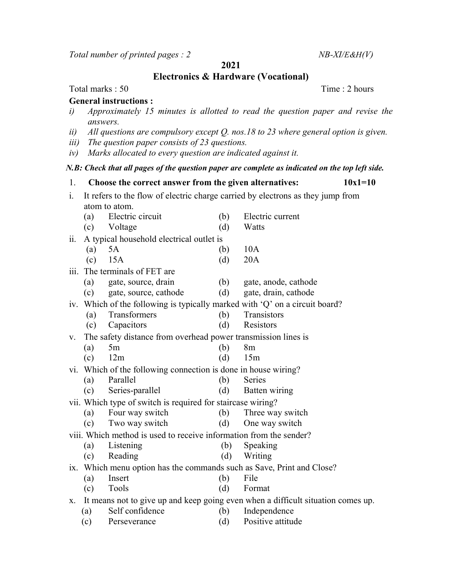Total number of printed pages :  $2$  NB-XI/E&H(V)

2021

Electronics & Hardware (Vocational)

## Total marks : 50 Time : 2 hours

## General instructions :

- i) Approximately 15 minutes is allotted to read the question paper and revise the answers.
- ii) All questions are compulsory except Q. nos.18 to 23 where general option is given.
- iii) The question paper consists of 23 questions.
- iv) Marks allocated to every question are indicated against it.

## N.B: Check that all pages of the question paper are complete as indicated on the top left side.

|                   |                                                                                        | N.B: Check that all pages of the question paper are complete as indicated on the top left sid |     |                      |           |  |  |
|-------------------|----------------------------------------------------------------------------------------|-----------------------------------------------------------------------------------------------|-----|----------------------|-----------|--|--|
| 1.                |                                                                                        | Choose the correct answer from the given alternatives:                                        |     |                      | $10x1=10$ |  |  |
| i.                |                                                                                        | It refers to the flow of electric charge carried by electrons as they jump from               |     |                      |           |  |  |
|                   |                                                                                        | atom to atom.                                                                                 |     |                      |           |  |  |
|                   | (a)                                                                                    | Electric circuit                                                                              | (b) | Electric current     |           |  |  |
|                   | (c)                                                                                    | Voltage                                                                                       | (d) | Watts                |           |  |  |
| $\overline{11}$ . | A typical household electrical outlet is                                               |                                                                                               |     |                      |           |  |  |
|                   | (a)                                                                                    | 5A                                                                                            | (b) | 10A                  |           |  |  |
|                   | (c)                                                                                    | 15A                                                                                           | (d) | 20A                  |           |  |  |
|                   | iii. The terminals of FET are                                                          |                                                                                               |     |                      |           |  |  |
|                   |                                                                                        | (a) gate, source, drain                                                                       | (b) | gate, anode, cathode |           |  |  |
|                   | (c)                                                                                    | gate, source, cathode                                                                         | (d) | gate, drain, cathode |           |  |  |
|                   | iv. Which of the following is typically marked with $\mathcal{O}'$ on a circuit board? |                                                                                               |     |                      |           |  |  |
|                   | (a)                                                                                    | Transformers                                                                                  | (b) | Transistors          |           |  |  |
|                   | (c)                                                                                    | Capacitors                                                                                    | (d) | Resistors            |           |  |  |
| V.                | The safety distance from overhead power transmission lines is                          |                                                                                               |     |                      |           |  |  |
|                   | (a)                                                                                    | 5m                                                                                            | (b) | 8m                   |           |  |  |
|                   | (c)                                                                                    | 12m                                                                                           | (d) | 15m                  |           |  |  |
|                   | vi. Which of the following connection is done in house wiring?                         |                                                                                               |     |                      |           |  |  |
|                   | (a)                                                                                    | Parallel                                                                                      | (b) | Series               |           |  |  |
|                   | (c)                                                                                    | Series-parallel                                                                               | (d) | Batten wiring        |           |  |  |
|                   | vii. Which type of switch is required for staircase wiring?                            |                                                                                               |     |                      |           |  |  |
|                   | (a)                                                                                    | Four way switch                                                                               | (b) | Three way switch     |           |  |  |
|                   | (c)                                                                                    | Two way switch                                                                                | (d) | One way switch       |           |  |  |
|                   | viii. Which method is used to receive information from the sender?                     |                                                                                               |     |                      |           |  |  |
|                   | (a)                                                                                    | Listening                                                                                     | (b) | Speaking             |           |  |  |
|                   | (c)                                                                                    | Reading                                                                                       | (d) | Writing              |           |  |  |
|                   | ix. Which menu option has the commands such as Save, Print and Close?                  |                                                                                               |     |                      |           |  |  |
|                   | (a)                                                                                    | Insert                                                                                        | (b) | File                 |           |  |  |
|                   | (c)                                                                                    | Tools                                                                                         | (d) | Format               |           |  |  |
| X.                | It means not to give up and keep going even when a difficult situation comes up.       |                                                                                               |     |                      |           |  |  |
|                   | (a)                                                                                    | Self confidence                                                                               | (b) | Independence         |           |  |  |
|                   | (c)                                                                                    | Perseverance                                                                                  | (d) | Positive attitude    |           |  |  |
|                   |                                                                                        |                                                                                               |     |                      |           |  |  |